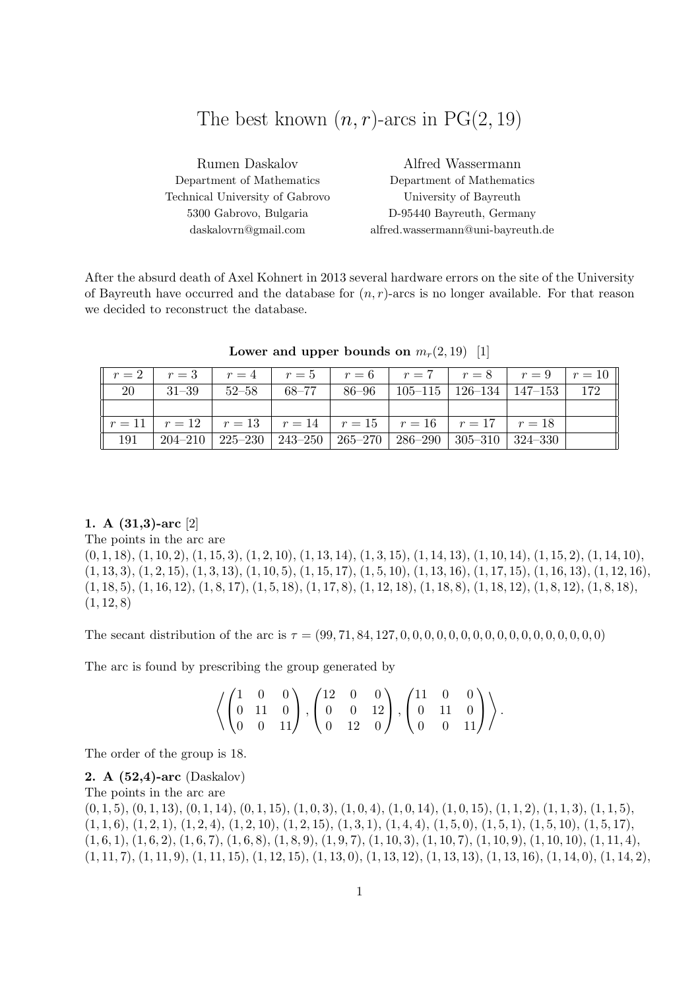# The best known  $(n, r)$ -arcs in PG $(2, 19)$

| Rumen Daskalov                  | Alfred Wassermann                 |
|---------------------------------|-----------------------------------|
| Department of Mathematics       | Department of Mathematics         |
| Technical University of Gabrovo | University of Bayreuth            |
| 5300 Gabrovo, Bulgaria          | D-95440 Bayreuth, Germany         |
| daskalovrn@gmail.com            | alfred.wassermann@uni-bayreuth.de |

After the absurd death of Axel Kohnert in 2013 several hardware errors on the site of the University of Bayreuth have occurred and the database for  $(n, r)$ -arcs is no longer available. For that reason we decided to reconstruct the database.

|    |  | $r = 2$ $r = 3$ $r = 4$ $r = 5$ $r = 6$ $r = 7$ $r = 8$ $r = 9$ $r = 10$                                    |  |  |  |
|----|--|-------------------------------------------------------------------------------------------------------------|--|--|--|
| 20 |  | $\mid$ 31–39 $\mid$ 52–58 $\mid$ 68–77 $\mid$ 86–96 $\mid$ 105–115 $\mid$ 126–134 $\mid$ 147–153 $\mid$ 172 |  |  |  |
|    |  |                                                                                                             |  |  |  |
|    |  | $r = 11$   $r = 12$   $r = 13$   $r = 14$   $r = 15$   $r = 16$   $r = 17$   $r = 18$                       |  |  |  |
|    |  | $191$   $204-210$   $225-230$   $243-250$   $265-270$   $286-290$   $305-310$   $324-330$                   |  |  |  |

Lower and upper bounds on  $m_r(2, 19)$  [1]

### 1. A (31,3)-arc [2]

The points in the arc are

 $(0, 1, 18), (1, 10, 2), (1, 15, 3), (1, 2, 10), (1, 13, 14), (1, 3, 15), (1, 14, 13), (1, 10, 14), (1, 15, 2), (1, 14, 10),$  $(1, 13, 3), (1, 2, 15), (1, 3, 13), (1, 10, 5), (1, 15, 17), (1, 5, 10), (1, 13, 16), (1, 17, 15), (1, 16, 13), (1, 12, 16),$  $(1, 18, 5), (1, 16, 12), (1, 8, 17), (1, 5, 18), (1, 17, 8), (1, 12, 18), (1, 18, 8), (1, 18, 12), (1, 8, 12), (1, 8, 18),$  $(1, 12, 8)$ 

The secant distribution of the arc is τ = (99, 71, 84, 127, 0, 0, 0, 0, 0, 0, 0, 0, 0, 0, 0, 0, 0, 0, 0, 0, 0)

The arc is found by prescribing the group generated by

$$
\left\langle \begin{pmatrix} 1 & 0 & 0 \\ 0 & 11 & 0 \\ 0 & 0 & 11 \end{pmatrix}, \begin{pmatrix} 12 & 0 & 0 \\ 0 & 0 & 12 \\ 0 & 12 & 0 \end{pmatrix}, \begin{pmatrix} 11 & 0 & 0 \\ 0 & 11 & 0 \\ 0 & 0 & 11 \end{pmatrix} \right\rangle.
$$

The order of the group is 18.

2. A (52,4)-arc (Daskalov) The points in the arc are  $(0, 1, 5), (0, 1, 13), (0, 1, 14), (0, 1, 15), (1, 0, 3), (1, 0, 4), (1, 0, 14), (1, 0, 15), (1, 1, 2), (1, 1, 3), (1, 1, 5),$  $(1, 1, 6), (1, 2, 1), (1, 2, 4), (1, 2, 10), (1, 2, 15), (1, 3, 1), (1, 4, 4), (1, 5, 0), (1, 5, 1), (1, 5, 10), (1, 5, 17),$  $(1, 6, 1), (1, 6, 2), (1, 6, 7), (1, 6, 8), (1, 8, 9), (1, 9, 7), (1, 10, 3), (1, 10, 7), (1, 10, 9), (1, 10, 10), (1, 11, 4),$  $(1, 11, 7), (1, 11, 9), (1, 11, 15), (1, 12, 15), (1, 13, 0), (1, 13, 12), (1, 13, 13), (1, 13, 16), (1, 14, 0), (1, 14, 2),$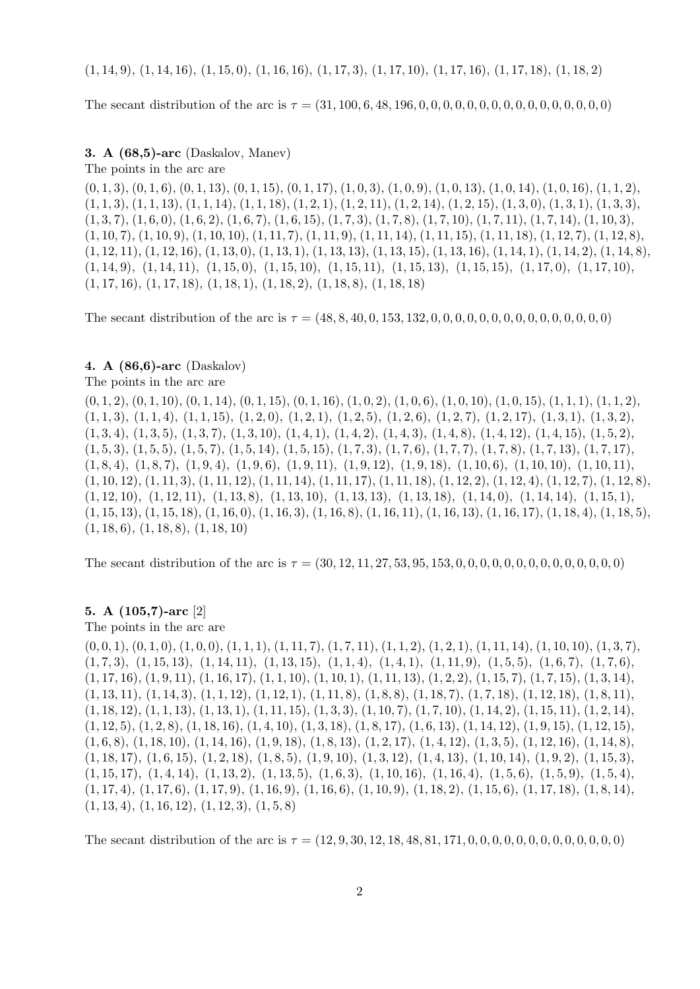$(1, 14, 9), (1, 14, 16), (1, 15, 0), (1, 16, 16), (1, 17, 3), (1, 17, 10), (1, 17, 16), (1, 17, 18), (1, 18, 2)$ 

The secant distribution of the arc is τ = (31, 100, 6, 48, 196, 0, 0, 0, 0, 0, 0, 0, 0, 0, 0, 0, 0, 0, 0, 0, 0)

3. A (68,5)-arc (Daskalov, Manev)

The points in the arc are

 $(0, 1, 3), (0, 1, 6), (0, 1, 13), (0, 1, 15), (0, 1, 17), (1, 0, 3), (1, 0, 9), (1, 0, 13), (1, 0, 14), (1, 0, 16), (1, 1, 2),$  $(1, 1, 3), (1, 1, 13), (1, 1, 14), (1, 1, 18), (1, 2, 1), (1, 2, 11), (1, 2, 14), (1, 2, 15), (1, 3, 0), (1, 3, 1), (1, 3, 3),$  $(1, 3, 7), (1, 6, 0), (1, 6, 2), (1, 6, 7), (1, 6, 15), (1, 7, 3), (1, 7, 8), (1, 7, 10), (1, 7, 11), (1, 7, 14), (1, 10, 3),$  $(1, 10, 7), (1, 10, 9), (1, 10, 10), (1, 11, 7), (1, 11, 9), (1, 11, 14), (1, 11, 15), (1, 11, 18), (1, 12, 7), (1, 12, 8),$  $(1, 12, 11), (1, 12, 16), (1, 13, 0), (1, 13, 1), (1, 13, 13), (1, 13, 15), (1, 13, 16), (1, 14, 1), (1, 14, 2), (1, 14, 8),$  $(1, 14, 9), (1, 14, 11), (1, 15, 0), (1, 15, 10), (1, 15, 11), (1, 15, 13), (1, 15, 15), (1, 17, 0), (1, 17, 10),$  $(1, 17, 16), (1, 17, 18), (1, 18, 1), (1, 18, 2), (1, 18, 8), (1, 18, 18)$ 

The secant distribution of the arc is τ = (48, 8, 40, 0, 153, 132, 0, 0, 0, 0, 0, 0, 0, 0, 0, 0, 0, 0, 0, 0, 0)

# 4. A (86,6)-arc (Daskalov)

The points in the arc are

 $(0, 1, 2), (0, 1, 10), (0, 1, 14), (0, 1, 15), (0, 1, 16), (1, 0, 2), (1, 0, 6), (1, 0, 10), (1, 0, 15), (1, 1, 1), (1, 1, 2),$  $(1, 1, 3), (1, 1, 4), (1, 1, 15), (1, 2, 0), (1, 2, 1), (1, 2, 5), (1, 2, 6), (1, 2, 7), (1, 2, 17), (1, 3, 1), (1, 3, 2),$  $(1, 3, 4), (1, 3, 5), (1, 3, 7), (1, 3, 10), (1, 4, 1), (1, 4, 2), (1, 4, 3), (1, 4, 8), (1, 4, 12), (1, 4, 15), (1, 5, 2),$  $(1, 5, 3), (1, 5, 5), (1, 5, 7), (1, 5, 14), (1, 5, 15), (1, 7, 3), (1, 7, 6), (1, 7, 7), (1, 7, 8), (1, 7, 13), (1, 7, 17),$  $(1, 8, 4), (1, 8, 7), (1, 9, 4), (1, 9, 6), (1, 9, 11), (1, 9, 12), (1, 9, 18), (1, 10, 6), (1, 10, 10), (1, 10, 11),$  $(1, 10, 12), (1, 11, 3), (1, 11, 12), (1, 11, 14), (1, 11, 17), (1, 11, 18), (1, 12, 2), (1, 12, 4), (1, 12, 7), (1, 12, 8),$  $(1, 12, 10), (1, 12, 11), (1, 13, 8), (1, 13, 10), (1, 13, 13), (1, 13, 18), (1, 14, 0), (1, 14, 14), (1, 15, 1),$  $(1, 15, 13), (1, 15, 18), (1, 16, 0), (1, 16, 3), (1, 16, 8), (1, 16, 11), (1, 16, 13), (1, 16, 17), (1, 18, 4), (1, 18, 5),$  $(1, 18, 6), (1, 18, 8), (1, 18, 10)$ 

The secant distribution of the arc is  $\tau = (30, 12, 11, 27, 53, 95, 153, 0, 0, 0, 0, 0, 0, 0, 0, 0, 0, 0, 0, 0)$ 

# 5. A (105,7)-arc [2]

The points in the arc are

 $(0, 0, 1), (0, 1, 0), (1, 0, 0), (1, 1, 1), (1, 11, 7), (1, 7, 11), (1, 1, 2), (1, 2, 1), (1, 11, 14), (1, 10, 10), (1, 3, 7),$  $(1, 7, 3), (1, 15, 13), (1, 14, 11), (1, 13, 15), (1, 1, 4), (1, 4, 1), (1, 11, 9), (1, 5, 5), (1, 6, 7), (1, 7, 6),$  $(1, 17, 16), (1, 9, 11), (1, 16, 17), (1, 1, 10), (1, 10, 1), (1, 11, 13), (1, 2, 2), (1, 15, 7), (1, 7, 15), (1, 3, 14),$  $(1, 13, 11), (1, 14, 3), (1, 1, 12), (1, 12, 1), (1, 11, 8), (1, 8, 8), (1, 18, 7), (1, 7, 18), (1, 12, 18), (1, 8, 11),$  $(1, 18, 12), (1, 1, 13), (1, 13, 1), (1, 11, 15), (1, 3, 3), (1, 10, 7), (1, 7, 10), (1, 14, 2), (1, 15, 11), (1, 2, 14),$  $(1, 12, 5), (1, 2, 8), (1, 18, 16), (1, 4, 10), (1, 3, 18), (1, 8, 17), (1, 6, 13), (1, 14, 12), (1, 9, 15), (1, 12, 15),$  $(1, 6, 8), (1, 18, 10), (1, 14, 16), (1, 9, 18), (1, 8, 13), (1, 2, 17), (1, 4, 12), (1, 3, 5), (1, 12, 16), (1, 14, 8),$  $(1, 18, 17), (1, 6, 15), (1, 2, 18), (1, 8, 5), (1, 9, 10), (1, 3, 12), (1, 4, 13), (1, 10, 14), (1, 9, 2), (1, 15, 3),$  $(1, 15, 17), (1, 4, 14), (1, 13, 2), (1, 13, 5), (1, 6, 3), (1, 10, 16), (1, 16, 4), (1, 5, 6), (1, 5, 9), (1, 5, 4),$  $(1, 17, 4), (1, 17, 6), (1, 17, 9), (1, 16, 9), (1, 16, 6), (1, 10, 9), (1, 18, 2), (1, 15, 6), (1, 17, 18), (1, 8, 14),$  $(1, 13, 4), (1, 16, 12), (1, 12, 3), (1, 5, 8)$ 

The secant distribution of the arc is  $\tau = (12, 9, 30, 12, 18, 48, 81, 171, 0, 0, 0, 0, 0, 0, 0, 0, 0, 0, 0, 0)$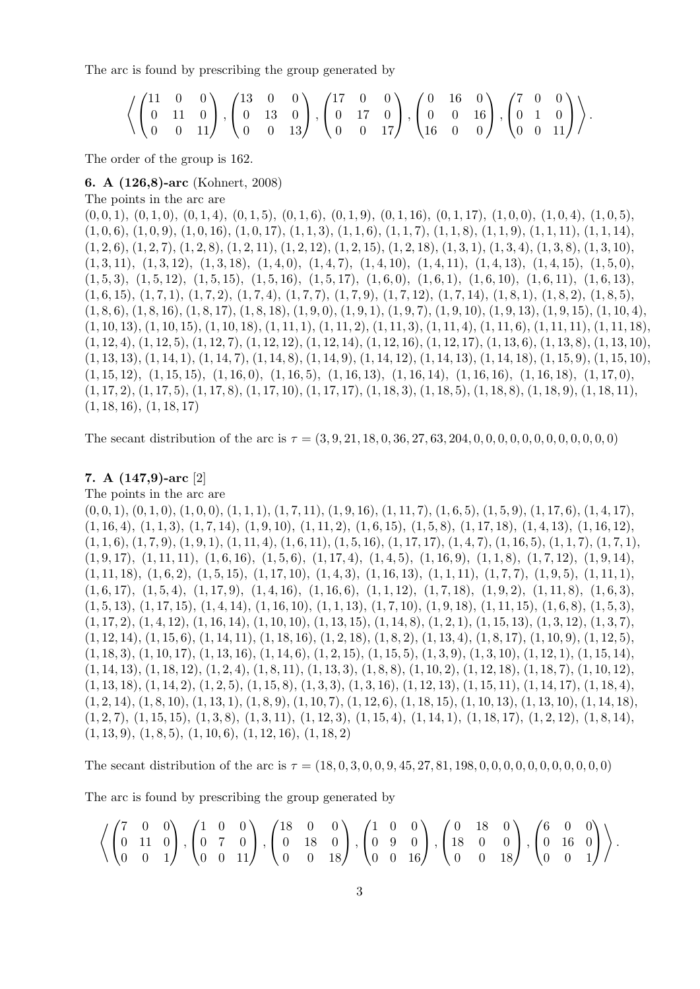The arc is found by prescribing the group generated by

$$
\left\langle \begin{pmatrix} 11 & 0 & 0 \\ 0 & 11 & 0 \\ 0 & 0 & 11 \end{pmatrix}, \begin{pmatrix} 13 & 0 & 0 \\ 0 & 13 & 0 \\ 0 & 0 & 13 \end{pmatrix}, \begin{pmatrix} 17 & 0 & 0 \\ 0 & 17 & 0 \\ 0 & 0 & 17 \end{pmatrix}, \begin{pmatrix} 0 & 16 & 0 \\ 0 & 0 & 16 \\ 16 & 0 & 0 \end{pmatrix}, \begin{pmatrix} 7 & 0 & 0 \\ 0 & 1 & 0 \\ 0 & 0 & 11 \end{pmatrix} \right\rangle.
$$

The order of the group is 162.

#### 6. A (126,8)-arc (Kohnert, 2008)

The points in the arc are

 $(0, 0, 1), (0, 1, 0), (0, 1, 4), (0, 1, 5), (0, 1, 6), (0, 1, 9), (0, 1, 16), (0, 1, 17), (1, 0, 0), (1, 0, 4), (1, 0, 5),$  $(1, 0, 6), (1, 0, 9), (1, 0, 16), (1, 0, 17), (1, 1, 3), (1, 1, 6), (1, 1, 7), (1, 1, 8), (1, 1, 9), (1, 1, 11), (1, 1, 14),$  $(1, 2, 6), (1, 2, 7), (1, 2, 8), (1, 2, 11), (1, 2, 12), (1, 2, 15), (1, 2, 18), (1, 3, 1), (1, 3, 4), (1, 3, 8), (1, 3, 10),$  $(1, 3, 11), (1, 3, 12), (1, 3, 18), (1, 4, 0), (1, 4, 7), (1, 4, 10), (1, 4, 11), (1, 4, 13), (1, 4, 15), (1, 5, 0),$  $(1, 5, 3), (1, 5, 12), (1, 5, 15), (1, 5, 16), (1, 5, 17), (1, 6, 0), (1, 6, 1), (1, 6, 10), (1, 6, 11), (1, 6, 13),$  $(1, 6, 15), (1, 7, 1), (1, 7, 2), (1, 7, 4), (1, 7, 7), (1, 7, 9), (1, 7, 12), (1, 7, 14), (1, 8, 1), (1, 8, 2), (1, 8, 5),$  $(1, 8, 6), (1, 8, 16), (1, 8, 17), (1, 8, 18), (1, 9, 0), (1, 9, 1), (1, 9, 7), (1, 9, 10), (1, 9, 13), (1, 9, 15), (1, 10, 4),$  $(1, 10, 13), (1, 10, 15), (1, 10, 18), (1, 11, 1), (1, 11, 2), (1, 11, 3), (1, 11, 4), (1, 11, 6), (1, 11, 11), (1, 11, 18),$  $(1, 12, 4), (1, 12, 5), (1, 12, 7), (1, 12, 12), (1, 12, 14), (1, 12, 16), (1, 12, 17), (1, 13, 6), (1, 13, 8), (1, 13, 10),$  $(1, 13, 13), (1, 14, 1), (1, 14, 7), (1, 14, 8), (1, 14, 9), (1, 14, 12), (1, 14, 13), (1, 14, 18), (1, 15, 9), (1, 15, 10),$  $(1, 15, 12), (1, 15, 15), (1, 16, 0), (1, 16, 5), (1, 16, 13), (1, 16, 14), (1, 16, 16), (1, 16, 18), (1, 17, 0),$  $(1, 17, 2), (1, 17, 5), (1, 17, 8), (1, 17, 10), (1, 17, 17), (1, 18, 3), (1, 18, 5), (1, 18, 8), (1, 18, 9), (1, 18, 11),$  $(1, 18, 16), (1, 18, 17)$ 

The secant distribution of the arc is  $\tau = (3, 9, 21, 18, 0, 36, 27, 63, 204, 0, 0, 0, 0, 0, 0, 0, 0, 0, 0, 0)$ 

# 7. A (147,9)-arc [2]

The points in the arc are

 $(0, 0, 1), (0, 1, 0), (1, 0, 0), (1, 1, 1), (1, 7, 11), (1, 9, 16), (1, 11, 7), (1, 6, 5), (1, 5, 9), (1, 17, 6), (1, 4, 17),$  $(1, 16, 4), (1, 1, 3), (1, 7, 14), (1, 9, 10), (1, 11, 2), (1, 6, 15), (1, 5, 8), (1, 17, 18), (1, 4, 13), (1, 16, 12),$  $(1, 1, 6), (1, 7, 9), (1, 9, 1), (1, 11, 4), (1, 6, 11), (1, 5, 16), (1, 17, 17), (1, 4, 7), (1, 16, 5), (1, 1, 7), (1, 7, 1),$  $(1, 9, 17), (1, 11, 11), (1, 6, 16), (1, 5, 6), (1, 17, 4), (1, 4, 5), (1, 16, 9), (1, 1, 8), (1, 7, 12), (1, 9, 14),$  $(1, 11, 18), (1, 6, 2), (1, 5, 15), (1, 17, 10), (1, 4, 3), (1, 16, 13), (1, 1, 11), (1, 7, 7), (1, 9, 5), (1, 11, 1),$  $(1, 6, 17), (1, 5, 4), (1, 17, 9), (1, 4, 16), (1, 16, 6), (1, 1, 12), (1, 7, 18), (1, 9, 2), (1, 11, 8), (1, 6, 3),$  $(1, 5, 13), (1, 17, 15), (1, 4, 14), (1, 16, 10), (1, 1, 13), (1, 7, 10), (1, 9, 18), (1, 11, 15), (1, 6, 8), (1, 5, 3),$  $(1, 17, 2), (1, 4, 12), (1, 16, 14), (1, 10, 10), (1, 13, 15), (1, 14, 8), (1, 2, 1), (1, 15, 13), (1, 3, 12), (1, 3, 7),$  $(1, 12, 14), (1, 15, 6), (1, 14, 11), (1, 18, 16), (1, 2, 18), (1, 8, 2), (1, 13, 4), (1, 8, 17), (1, 10, 9), (1, 12, 5),$  $(1, 18, 3), (1, 10, 17), (1, 13, 16), (1, 14, 6), (1, 2, 15), (1, 15, 5), (1, 3, 9), (1, 3, 10), (1, 12, 1), (1, 15, 14),$  $(1, 14, 13), (1, 18, 12), (1, 2, 4), (1, 8, 11), (1, 13, 3), (1, 8, 8), (1, 10, 2), (1, 12, 18), (1, 18, 7), (1, 10, 12),$  $(1, 13, 18), (1, 14, 2), (1, 2, 5), (1, 15, 8), (1, 3, 3), (1, 3, 16), (1, 12, 13), (1, 15, 11), (1, 14, 17), (1, 18, 4),$  $(1, 2, 14)$ ,  $(1, 8, 10)$ ,  $(1, 13, 1)$ ,  $(1, 8, 9)$ ,  $(1, 10, 7)$ ,  $(1, 12, 6)$ ,  $(1, 18, 15)$ ,  $(1, 10, 13)$ ,  $(1, 13, 10)$ ,  $(1, 14, 18)$ ,  $(1, 2, 7), (1, 15, 15), (1, 3, 8), (1, 3, 11), (1, 12, 3), (1, 15, 4), (1, 14, 1), (1, 18, 17), (1, 2, 12), (1, 8, 14),$  $(1, 13, 9), (1, 8, 5), (1, 10, 6), (1, 12, 16), (1, 18, 2)$ 

The secant distribution of the arc is  $\tau = (18, 0, 3, 0, 0, 9, 45, 27, 81, 198, 0, 0, 0, 0, 0, 0, 0, 0, 0, 0)$ 

The arc is found by prescribing the group generated by

$$
\left\langle \begin{pmatrix} 7 & 0 & 0 \\ 0 & 11 & 0 \\ 0 & 0 & 1 \end{pmatrix}, \begin{pmatrix} 1 & 0 & 0 \\ 0 & 7 & 0 \\ 0 & 0 & 11 \end{pmatrix}, \begin{pmatrix} 18 & 0 & 0 \\ 0 & 18 & 0 \\ 0 & 0 & 18 \end{pmatrix}, \begin{pmatrix} 1 & 0 & 0 \\ 0 & 9 & 0 \\ 0 & 0 & 16 \end{pmatrix}, \begin{pmatrix} 0 & 18 & 0 \\ 18 & 0 & 0 \\ 0 & 0 & 18 \end{pmatrix}, \begin{pmatrix} 6 & 0 & 0 \\ 0 & 16 & 0 \\ 0 & 0 & 1 \end{pmatrix} \right\rangle.
$$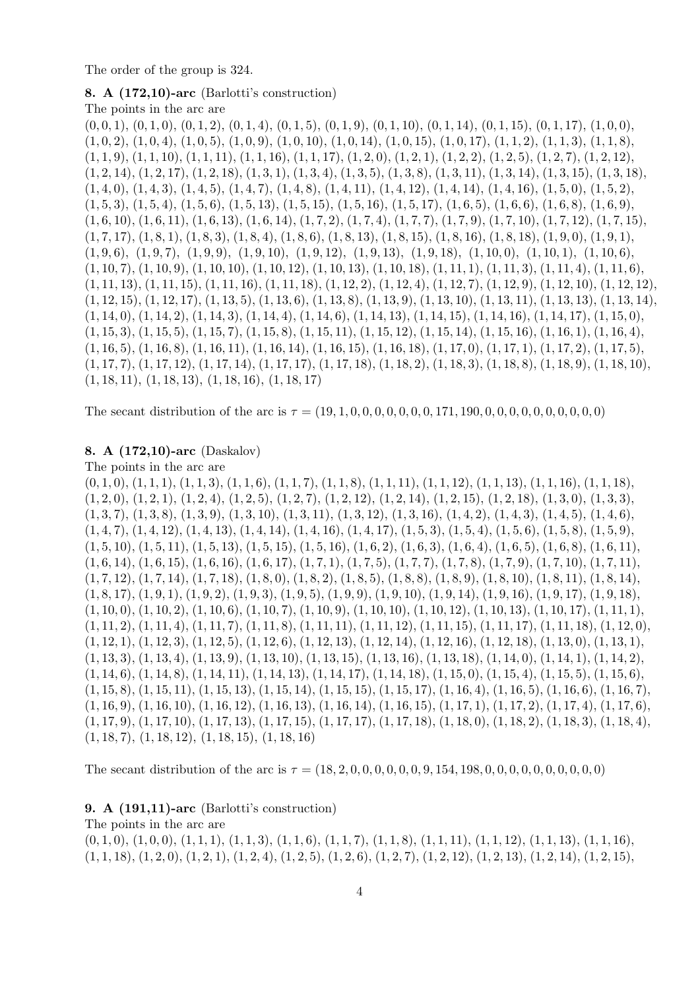The order of the group is 324.

### 8. A (172,10)-arc (Barlotti's construction)

The points in the arc are

 $(0, 0, 1), (0, 1, 0), (0, 1, 2), (0, 1, 4), (0, 1, 5), (0, 1, 9), (0, 1, 10), (0, 1, 14), (0, 1, 15), (0, 1, 17), (1, 0, 0),$  $(1, 0, 2), (1, 0, 4), (1, 0, 5), (1, 0, 9), (1, 0, 10), (1, 0, 14), (1, 0, 15), (1, 0, 17), (1, 1, 2), (1, 1, 3), (1, 1, 8),$  $(1, 1, 9), (1, 1, 10), (1, 1, 11), (1, 1, 16), (1, 1, 17), (1, 2, 0), (1, 2, 1), (1, 2, 2), (1, 2, 5), (1, 2, 7), (1, 2, 12),$  $(1, 2, 14), (1, 2, 17), (1, 2, 18), (1, 3, 1), (1, 3, 4), (1, 3, 5), (1, 3, 8), (1, 3, 11), (1, 3, 14), (1, 3, 15), (1, 3, 18),$  $(1, 4, 0), (1, 4, 3), (1, 4, 5), (1, 4, 7), (1, 4, 8), (1, 4, 11), (1, 4, 12), (1, 4, 14), (1, 4, 16), (1, 5, 0), (1, 5, 2),$  $(1, 5, 3), (1, 5, 4), (1, 5, 6), (1, 5, 13), (1, 5, 15), (1, 5, 16), (1, 5, 17), (1, 6, 5), (1, 6, 6), (1, 6, 8), (1, 6, 9),$  $(1, 6, 10), (1, 6, 11), (1, 6, 13), (1, 6, 14), (1, 7, 2), (1, 7, 4), (1, 7, 7), (1, 7, 9), (1, 7, 10), (1, 7, 12), (1, 7, 15),$  $(1, 7, 17), (1, 8, 1), (1, 8, 3), (1, 8, 4), (1, 8, 6), (1, 8, 13), (1, 8, 15), (1, 8, 16), (1, 8, 18), (1, 9, 0), (1, 9, 1),$  $(1, 9, 6), (1, 9, 7), (1, 9, 9), (1, 9, 10), (1, 9, 12), (1, 9, 13), (1, 9, 18), (1, 10, 0), (1, 10, 1), (1, 10, 6),$  $(1, 10, 7), (1, 10, 9), (1, 10, 10), (1, 10, 12), (1, 10, 13), (1, 10, 18), (1, 11, 1), (1, 11, 3), (1, 11, 4), (1, 11, 6),$  $(1, 11, 13), (1, 11, 15), (1, 11, 16), (1, 11, 18), (1, 12, 2), (1, 12, 4), (1, 12, 7), (1, 12, 9), (1, 12, 10), (1, 12, 12),$  $(1, 12, 15), (1, 12, 17), (1, 13, 5), (1, 13, 6), (1, 13, 8), (1, 13, 9), (1, 13, 10), (1, 13, 11), (1, 13, 13), (1, 13, 14),$  $(1, 14, 0), (1, 14, 2), (1, 14, 3), (1, 14, 4), (1, 14, 6), (1, 14, 13), (1, 14, 15), (1, 14, 16), (1, 14, 17), (1, 15, 0),$  $(1, 15, 3), (1, 15, 5), (1, 15, 7), (1, 15, 8), (1, 15, 11), (1, 15, 12), (1, 15, 14), (1, 15, 16), (1, 16, 1), (1, 16, 4),$  $(1, 16, 5), (1, 16, 8), (1, 16, 11), (1, 16, 14), (1, 16, 15), (1, 16, 18), (1, 17, 0), (1, 17, 1), (1, 17, 2), (1, 17, 5),$  $(1, 17, 7), (1, 17, 12), (1, 17, 14), (1, 17, 17), (1, 17, 18), (1, 18, 2), (1, 18, 3), (1, 18, 8), (1, 18, 9), (1, 18, 10),$  $(1, 18, 11), (1, 18, 13), (1, 18, 16), (1, 18, 17)$ 

The secant distribution of the arc is  $\tau = (19, 1, 0, 0, 0, 0, 0, 0, 0, 171, 190, 0, 0, 0, 0, 0, 0, 0, 0, 0)$ 

#### 8. A (172,10)-arc (Daskalov)

The points in the arc are  $(0, 1, 0), (1, 1, 1), (1, 1, 3), (1, 1, 6), (1, 1, 7), (1, 1, 8), (1, 1, 11), (1, 1, 12), (1, 1, 13), (1, 1, 16), (1, 1, 18),$  $(1, 2, 0), (1, 2, 1), (1, 2, 4), (1, 2, 5), (1, 2, 7), (1, 2, 12), (1, 2, 14), (1, 2, 15), (1, 2, 18), (1, 3, 0), (1, 3, 3),$  $(1, 3, 7), (1, 3, 8), (1, 3, 9), (1, 3, 10), (1, 3, 11), (1, 3, 12), (1, 3, 16), (1, 4, 2), (1, 4, 3), (1, 4, 5), (1, 4, 6),$  $(1, 4, 7), (1, 4, 12), (1, 4, 13), (1, 4, 14), (1, 4, 16), (1, 4, 17), (1, 5, 3), (1, 5, 4), (1, 5, 6), (1, 5, 8), (1, 5, 9),$  $(1, 5, 10), (1, 5, 11), (1, 5, 13), (1, 5, 15), (1, 5, 16), (1, 6, 2), (1, 6, 3), (1, 6, 4), (1, 6, 5), (1, 6, 8), (1, 6, 11),$  $(1, 6, 14), (1, 6, 15), (1, 6, 16), (1, 6, 17), (1, 7, 1), (1, 7, 5), (1, 7, 7), (1, 7, 8), (1, 7, 9), (1, 7, 10), (1, 7, 11),$  $(1, 7, 12), (1, 7, 14), (1, 7, 18), (1, 8, 0), (1, 8, 2), (1, 8, 5), (1, 8, 8), (1, 8, 9), (1, 8, 10), (1, 8, 11), (1, 8, 14),$  $(1, 8, 17), (1, 9, 1), (1, 9, 2), (1, 9, 3), (1, 9, 5), (1, 9, 9), (1, 9, 10), (1, 9, 14), (1, 9, 16), (1, 9, 17), (1, 9, 18),$  $(1, 10, 0), (1, 10, 2), (1, 10, 6), (1, 10, 7), (1, 10, 9), (1, 10, 10), (1, 10, 12), (1, 10, 13), (1, 10, 17), (1, 11, 1),$  $(1, 11, 2), (1, 11, 4), (1, 11, 7), (1, 11, 8), (1, 11, 11), (1, 11, 12), (1, 11, 15), (1, 11, 17), (1, 11, 18), (1, 12, 0),$  $(1, 12, 1), (1, 12, 3), (1, 12, 5), (1, 12, 6), (1, 12, 13), (1, 12, 14), (1, 12, 16), (1, 12, 18), (1, 13, 0), (1, 13, 1),$  $(1, 13, 3), (1, 13, 4), (1, 13, 9), (1, 13, 10), (1, 13, 15), (1, 13, 16), (1, 13, 18), (1, 14, 0), (1, 14, 1), (1, 14, 2),$  $(1, 14, 6), (1, 14, 8), (1, 14, 11), (1, 14, 13), (1, 14, 17), (1, 14, 18), (1, 15, 0), (1, 15, 4), (1, 15, 5), (1, 15, 6),$  $(1, 15, 8), (1, 15, 11), (1, 15, 13), (1, 15, 14), (1, 15, 15), (1, 15, 17), (1, 16, 4), (1, 16, 5), (1, 16, 6), (1, 16, 7),$  $(1, 16, 9), (1, 16, 10), (1, 16, 12), (1, 16, 13), (1, 16, 14), (1, 16, 15), (1, 17, 1), (1, 17, 2), (1, 17, 4), (1, 17, 6),$  $(1, 17, 9), (1, 17, 10), (1, 17, 13), (1, 17, 15), (1, 17, 17), (1, 17, 18), (1, 18, 0), (1, 18, 2), (1, 18, 3), (1, 18, 4),$  $(1, 18, 7), (1, 18, 12), (1, 18, 15), (1, 18, 16)$ 

The secant distribution of the arc is  $\tau = (18, 2, 0, 0, 0, 0, 0, 0, 0, 154, 198, 0, 0, 0, 0, 0, 0, 0, 0, 0)$ 

# 9. A (191,11)-arc (Barlotti's construction)

The points in the arc are

 $(0, 1, 0), (1, 0, 0), (1, 1, 1), (1, 1, 3), (1, 1, 6), (1, 1, 7), (1, 1, 8), (1, 1, 11), (1, 1, 12), (1, 1, 13), (1, 1, 16),$  $(1, 1, 18), (1, 2, 0), (1, 2, 1), (1, 2, 4), (1, 2, 5), (1, 2, 6), (1, 2, 7), (1, 2, 12), (1, 2, 13), (1, 2, 14), (1, 2, 15),$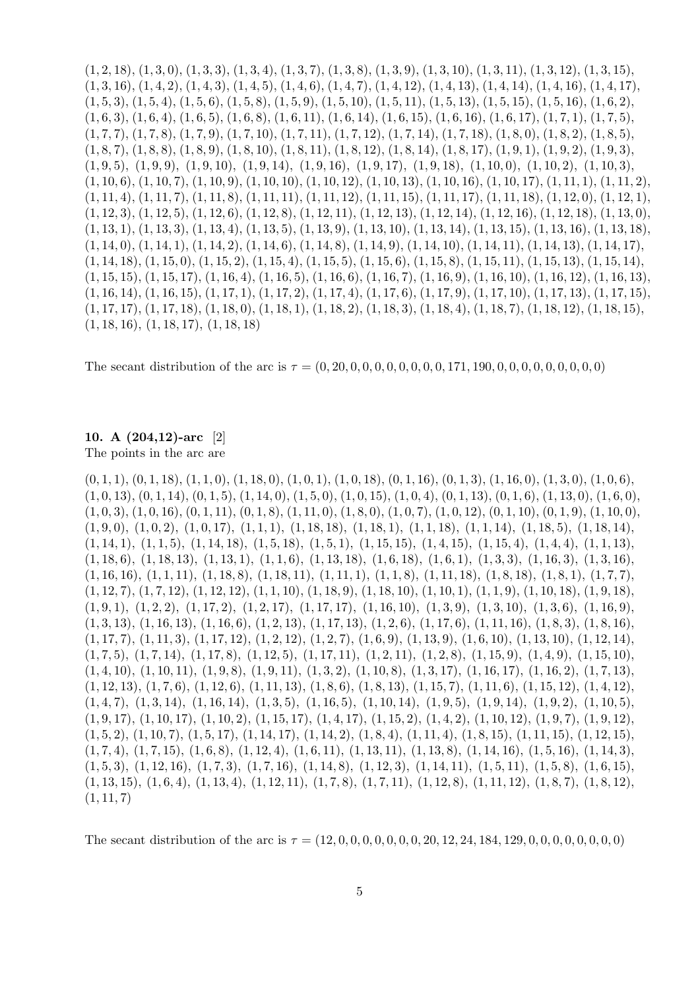$(1, 2, 18), (1, 3, 0), (1, 3, 3), (1, 3, 4), (1, 3, 7), (1, 3, 8), (1, 3, 9), (1, 3, 10), (1, 3, 11), (1, 3, 12), (1, 3, 15),$  $(1, 3, 16), (1, 4, 2), (1, 4, 3), (1, 4, 5), (1, 4, 6), (1, 4, 7), (1, 4, 12), (1, 4, 13), (1, 4, 14), (1, 4, 16), (1, 4, 17),$  $(1, 5, 3), (1, 5, 4), (1, 5, 6), (1, 5, 8), (1, 5, 9), (1, 5, 10), (1, 5, 11), (1, 5, 13), (1, 5, 15), (1, 5, 16), (1, 6, 2),$  $(1, 6, 3), (1, 6, 4), (1, 6, 5), (1, 6, 8), (1, 6, 11), (1, 6, 14), (1, 6, 15), (1, 6, 16), (1, 6, 17), (1, 7, 1), (1, 7, 5),$  $(1, 7, 7), (1, 7, 8), (1, 7, 9), (1, 7, 10), (1, 7, 11), (1, 7, 12), (1, 7, 14), (1, 7, 18), (1, 8, 0), (1, 8, 2), (1, 8, 5),$  $(1, 8, 7), (1, 8, 8), (1, 8, 9), (1, 8, 10), (1, 8, 11), (1, 8, 12), (1, 8, 14), (1, 8, 17), (1, 9, 1), (1, 9, 2), (1, 9, 3),$  $(1, 9, 5), (1, 9, 9), (1, 9, 10), (1, 9, 14), (1, 9, 16), (1, 9, 17), (1, 9, 18), (1, 10, 0), (1, 10, 2), (1, 10, 3),$  $(1, 10, 6), (1, 10, 7), (1, 10, 9), (1, 10, 10), (1, 10, 12), (1, 10, 13), (1, 10, 16), (1, 10, 17), (1, 11, 1), (1, 11, 2),$  $(1, 11, 4), (1, 11, 7), (1, 11, 8), (1, 11, 11), (1, 11, 12), (1, 11, 15), (1, 11, 17), (1, 11, 18), (1, 12, 0), (1, 12, 1),$  $(1, 12, 3), (1, 12, 5), (1, 12, 6), (1, 12, 8), (1, 12, 11), (1, 12, 13), (1, 12, 14), (1, 12, 16), (1, 12, 18), (1, 13, 0),$  $(1, 13, 1), (1, 13, 3), (1, 13, 4), (1, 13, 5), (1, 13, 9), (1, 13, 10), (1, 13, 14), (1, 13, 15), (1, 13, 16), (1, 13, 18),$  $(1, 14, 0), (1, 14, 1), (1, 14, 2), (1, 14, 6), (1, 14, 8), (1, 14, 9), (1, 14, 10), (1, 14, 11), (1, 14, 13), (1, 14, 17),$  $(1, 14, 18), (1, 15, 0), (1, 15, 2), (1, 15, 4), (1, 15, 5), (1, 15, 6), (1, 15, 8), (1, 15, 11), (1, 15, 13), (1, 15, 14),$  $(1, 15, 15), (1, 15, 17), (1, 16, 4), (1, 16, 5), (1, 16, 6), (1, 16, 7), (1, 16, 9), (1, 16, 10), (1, 16, 12), (1, 16, 13),$  $(1, 16, 14)$ ,  $(1, 16, 15)$ ,  $(1, 17, 1)$ ,  $(1, 17, 2)$ ,  $(1, 17, 4)$ ,  $(1, 17, 6)$ ,  $(1, 17, 9)$ ,  $(1, 17, 10)$ ,  $(1, 17, 13)$ ,  $(1, 17, 15)$ ,  $(1, 17, 17), (1, 17, 18), (1, 18, 0), (1, 18, 1), (1, 18, 2), (1, 18, 3), (1, 18, 4), (1, 18, 7), (1, 18, 12), (1, 18, 15),$  $(1, 18, 16), (1, 18, 17), (1, 18, 18)$ 

The secant distribution of the arc is  $\tau = (0, 20, 0, 0, 0, 0, 0, 0, 0, 0, 171, 190, 0, 0, 0, 0, 0, 0, 0, 0)$ 

# 10. A (204,12)-arc [2] The points in the arc are

 $(0, 1, 1), (0, 1, 18), (1, 1, 0), (1, 18, 0), (1, 0, 1), (1, 0, 18), (0, 1, 16), (0, 1, 3), (1, 16, 0), (1, 3, 0), (1, 0, 6),$  $(1, 0, 13), (0, 1, 14), (0, 1, 5), (1, 14, 0), (1, 5, 0), (1, 0, 15), (1, 0, 4), (0, 1, 13), (0, 1, 6), (1, 13, 0), (1, 6, 0),$  $(1, 0, 3), (1, 0, 16), (0, 1, 11), (0, 1, 8), (1, 11, 0), (1, 8, 0), (1, 0, 7), (1, 0, 12), (0, 1, 10), (0, 1, 9), (1, 10, 0),$  $(1, 9, 0), (1, 0, 2), (1, 0, 17), (1, 1, 1), (1, 18, 18), (1, 18, 1), (1, 1, 18), (1, 1, 14), (1, 18, 5), (1, 18, 14),$  $(1, 14, 1), (1, 1, 5), (1, 14, 18), (1, 5, 18), (1, 5, 1), (1, 15, 15), (1, 4, 15), (1, 15, 4), (1, 4, 4), (1, 1, 13),$  $(1, 18, 6), (1, 18, 13), (1, 13, 1), (1, 1, 6), (1, 13, 18), (1, 6, 18), (1, 6, 1), (1, 3, 3), (1, 16, 3), (1, 3, 16),$  $(1, 16, 16)$ ,  $(1, 1, 11)$ ,  $(1, 18, 8)$ ,  $(1, 18, 11)$ ,  $(1, 11, 1)$ ,  $(1, 1, 8)$ ,  $(1, 11, 18)$ ,  $(1, 8, 18)$ ,  $(1, 8, 1)$ ,  $(1, 7, 7)$ ,  $(1, 12, 7), (1, 7, 12), (1, 12, 12), (1, 1, 10), (1, 18, 9), (1, 18, 10), (1, 10, 1), (1, 1, 9), (1, 10, 18), (1, 9, 18),$  $(1, 9, 1), (1, 2, 2), (1, 17, 2), (1, 2, 17), (1, 17, 17), (1, 16, 10), (1, 3, 9), (1, 3, 10), (1, 3, 6), (1, 16, 9),$  $(1, 3, 13), (1, 16, 13), (1, 16, 6), (1, 2, 13), (1, 17, 13), (1, 2, 6), (1, 17, 6), (1, 11, 16), (1, 8, 3), (1, 8, 16),$  $(1, 17, 7), (1, 11, 3), (1, 17, 12), (1, 2, 12), (1, 2, 7), (1, 6, 9), (1, 13, 9), (1, 6, 10), (1, 13, 10), (1, 12, 14),$  $(1, 7, 5), (1, 7, 14), (1, 17, 8), (1, 12, 5), (1, 17, 11), (1, 2, 11), (1, 2, 8), (1, 15, 9), (1, 4, 9), (1, 15, 10),$  $(1, 4, 10), (1, 10, 11), (1, 9, 8), (1, 9, 11), (1, 3, 2), (1, 10, 8), (1, 3, 17), (1, 16, 17), (1, 16, 2), (1, 7, 13),$  $(1, 12, 13), (1, 7, 6), (1, 12, 6), (1, 11, 13), (1, 8, 6), (1, 8, 13), (1, 15, 7), (1, 11, 6), (1, 15, 12), (1, 4, 12),$  $(1, 4, 7), (1, 3, 14), (1, 16, 14), (1, 3, 5), (1, 16, 5), (1, 10, 14), (1, 9, 5), (1, 9, 14), (1, 9, 2), (1, 10, 5),$  $(1, 9, 17), (1, 10, 17), (1, 10, 2), (1, 15, 17), (1, 4, 17), (1, 15, 2), (1, 4, 2), (1, 10, 12), (1, 9, 7), (1, 9, 12),$  $(1, 5, 2), (1, 10, 7), (1, 5, 17), (1, 14, 17), (1, 14, 2), (1, 8, 4), (1, 11, 4), (1, 8, 15), (1, 11, 15), (1, 12, 15),$  $(1, 7, 4), (1, 7, 15), (1, 6, 8), (1, 12, 4), (1, 6, 11), (1, 13, 11), (1, 13, 8), (1, 14, 16), (1, 5, 16), (1, 14, 3),$  $(1, 5, 3), (1, 12, 16), (1, 7, 3), (1, 7, 16), (1, 14, 8), (1, 12, 3), (1, 14, 11), (1, 5, 11), (1, 5, 8), (1, 6, 15),$  $(1, 13, 15), (1, 6, 4), (1, 13, 4), (1, 12, 11), (1, 7, 8), (1, 7, 11), (1, 12, 8), (1, 11, 12), (1, 8, 7), (1, 8, 12),$  $(1, 11, 7)$ 

The secant distribution of the arc is  $\tau = (12, 0, 0, 0, 0, 0, 0, 0, 20, 12, 24, 184, 129, 0, 0, 0, 0, 0, 0, 0)$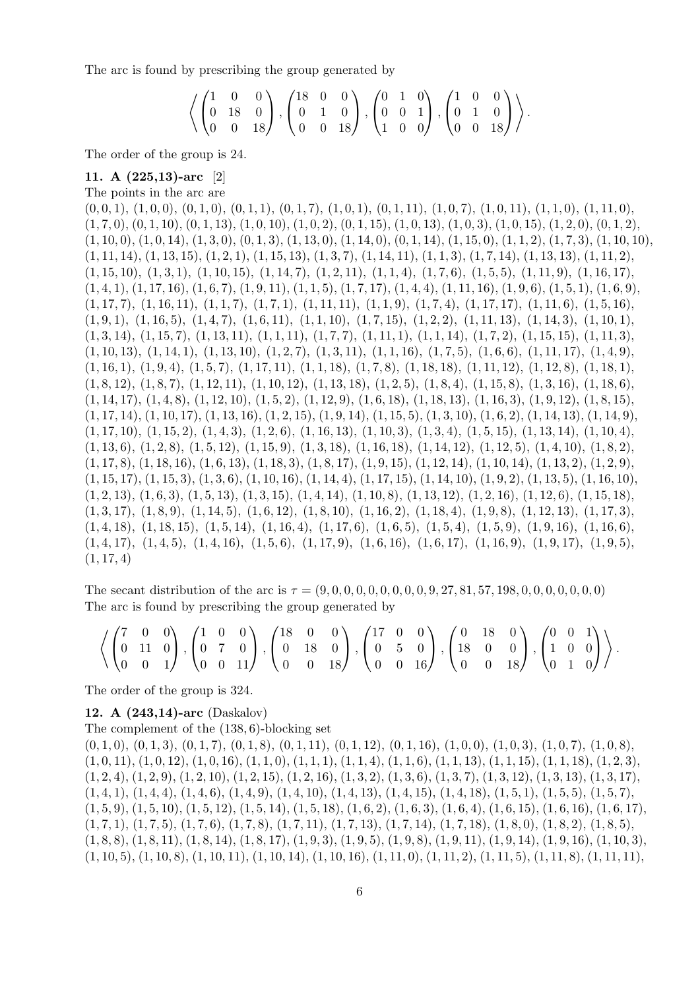The arc is found by prescribing the group generated by

$$
\left\langle \begin{pmatrix} 1 & 0 & 0 \\ 0 & 18 & 0 \\ 0 & 0 & 18 \end{pmatrix}, \begin{pmatrix} 18 & 0 & 0 \\ 0 & 1 & 0 \\ 0 & 0 & 18 \end{pmatrix}, \begin{pmatrix} 0 & 1 & 0 \\ 0 & 0 & 1 \\ 1 & 0 & 0 \end{pmatrix}, \begin{pmatrix} 1 & 0 & 0 \\ 0 & 1 & 0 \\ 0 & 0 & 18 \end{pmatrix} \right\rangle.
$$

The order of the group is 24.

#### 11. A (225,13)-arc [2]

The points in the arc are

 $(0, 0, 1), (1, 0, 0), (0, 1, 0), (0, 1, 1), (0, 1, 7), (1, 0, 1), (0, 1, 11), (1, 0, 7), (1, 0, 11), (1, 1, 0), (1, 11, 0),$  $(1, 7, 0), (0, 1, 10), (0, 1, 13), (1, 0, 10), (1, 0, 2), (0, 1, 15), (1, 0, 13), (1, 0, 3), (1, 0, 15), (1, 2, 0), (0, 1, 2),$  $(1, 10, 0), (1, 0, 14), (1, 3, 0), (0, 1, 3), (1, 13, 0), (1, 14, 0), (0, 1, 14), (1, 15, 0), (1, 1, 2), (1, 7, 3), (1, 10, 10),$  $(1, 11, 14), (1, 13, 15), (1, 2, 1), (1, 15, 13), (1, 3, 7), (1, 14, 11), (1, 1, 3), (1, 7, 14), (1, 13, 13), (1, 11, 2),$  $(1, 15, 10), (1, 3, 1), (1, 10, 15), (1, 14, 7), (1, 2, 11), (1, 1, 4), (1, 7, 6), (1, 5, 5), (1, 11, 9), (1, 16, 17),$  $(1, 4, 1), (1, 17, 16), (1, 6, 7), (1, 9, 11), (1, 1, 5), (1, 7, 17), (1, 4, 4), (1, 11, 16), (1, 9, 6), (1, 5, 1), (1, 6, 9),$  $(1, 17, 7), (1, 16, 11), (1, 1, 7), (1, 7, 1), (1, 11, 11), (1, 1, 9), (1, 7, 4), (1, 17, 17), (1, 11, 6), (1, 5, 16),$  $(1, 9, 1), (1, 16, 5), (1, 4, 7), (1, 6, 11), (1, 1, 10), (1, 7, 15), (1, 2, 2), (1, 11, 13), (1, 14, 3), (1, 10, 1),$  $(1, 3, 14), (1, 15, 7), (1, 13, 11), (1, 1, 11), (1, 7, 7), (1, 11, 11), (1, 1, 14), (1, 7, 2), (1, 15, 15), (1, 11, 3),$  $(1, 10, 13), (1, 14, 1), (1, 13, 10), (1, 2, 7), (1, 3, 11), (1, 1, 16), (1, 7, 5), (1, 6, 6), (1, 11, 17), (1, 4, 9),$  $(1, 16, 1), (1, 9, 4), (1, 5, 7), (1, 17, 11), (1, 1, 18), (1, 7, 8), (1, 18, 18), (1, 11, 12), (1, 12, 8), (1, 18, 1),$  $(1, 8, 12), (1, 8, 7), (1, 12, 11), (1, 10, 12), (1, 13, 18), (1, 2, 5), (1, 8, 4), (1, 15, 8), (1, 3, 16), (1, 18, 6),$  $(1, 14, 17), (1, 4, 8), (1, 12, 10), (1, 5, 2), (1, 12, 9), (1, 6, 18), (1, 18, 13), (1, 16, 3), (1, 9, 12), (1, 8, 15),$  $(1, 17, 14)$ ,  $(1, 10, 17)$ ,  $(1, 13, 16)$ ,  $(1, 2, 15)$ ,  $(1, 9, 14)$ ,  $(1, 15, 5)$ ,  $(1, 3, 10)$ ,  $(1, 6, 2)$ ,  $(1, 14, 13)$ ,  $(1, 14, 9)$ ,  $(1, 17, 10), (1, 15, 2), (1, 4, 3), (1, 2, 6), (1, 16, 13), (1, 10, 3), (1, 3, 4), (1, 5, 15), (1, 13, 14), (1, 10, 4),$  $(1, 13, 6), (1, 2, 8), (1, 5, 12), (1, 15, 9), (1, 3, 18), (1, 16, 18), (1, 14, 12), (1, 12, 5), (1, 4, 10), (1, 8, 2),$  $(1, 17, 8), (1, 18, 16), (1, 6, 13), (1, 18, 3), (1, 8, 17), (1, 9, 15), (1, 12, 14), (1, 10, 14), (1, 13, 2), (1, 2, 9),$  $(1, 15, 17), (1, 15, 3), (1, 3, 6), (1, 10, 16), (1, 14, 4), (1, 17, 15), (1, 14, 10), (1, 9, 2), (1, 13, 5), (1, 16, 10),$  $(1, 2, 13), (1, 6, 3), (1, 5, 13), (1, 3, 15), (1, 4, 14), (1, 10, 8), (1, 13, 12), (1, 2, 16), (1, 12, 6), (1, 15, 18),$  $(1, 3, 17), (1, 8, 9), (1, 14, 5), (1, 6, 12), (1, 8, 10), (1, 16, 2), (1, 18, 4), (1, 9, 8), (1, 12, 13), (1, 17, 3),$  $(1, 4, 18), (1, 18, 15), (1, 5, 14), (1, 16, 4), (1, 17, 6), (1, 6, 5), (1, 5, 4), (1, 5, 9), (1, 9, 16), (1, 16, 6),$  $(1, 4, 17), (1, 4, 5), (1, 4, 16), (1, 5, 6), (1, 17, 9), (1, 6, 16), (1, 6, 17), (1, 16, 9), (1, 9, 17), (1, 9, 5),$  $(1, 17, 4)$ 

The secant distribution of the arc is  $\tau = (9, 0, 0, 0, 0, 0, 0, 0, 0, 9, 27, 81, 57, 198, 0, 0, 0, 0, 0, 0, 0)$ The arc is found by prescribing the group generated by

$$
\left\langle \begin{pmatrix} 7 & 0 & 0 \\ 0 & 11 & 0 \\ 0 & 0 & 1 \end{pmatrix}, \begin{pmatrix} 1 & 0 & 0 \\ 0 & 7 & 0 \\ 0 & 0 & 11 \end{pmatrix}, \begin{pmatrix} 18 & 0 & 0 \\ 0 & 18 & 0 \\ 0 & 0 & 18 \end{pmatrix}, \begin{pmatrix} 17 & 0 & 0 \\ 0 & 5 & 0 \\ 0 & 0 & 16 \end{pmatrix}, \begin{pmatrix} 0 & 18 & 0 \\ 18 & 0 & 0 \\ 0 & 0 & 18 \end{pmatrix}, \begin{pmatrix} 0 & 0 & 1 \\ 1 & 0 & 0 \\ 0 & 1 & 0 \end{pmatrix} \right\rangle.
$$

The order of the group is 324.

#### 12. A (243,14)-arc (Daskalov)

The complement of the (138, 6)-blocking set

 $(0, 1, 0), (0, 1, 3), (0, 1, 7), (0, 1, 8), (0, 1, 11), (0, 1, 12), (0, 1, 16), (1, 0, 0), (1, 0, 3), (1, 0, 7), (1, 0, 8),$  $(1, 0, 11), (1, 0, 12), (1, 0, 16), (1, 1, 0), (1, 1, 1), (1, 1, 4), (1, 1, 6), (1, 1, 13), (1, 1, 15), (1, 1, 18), (1, 2, 3),$  $(1, 2, 4), (1, 2, 9), (1, 2, 10), (1, 2, 15), (1, 2, 16), (1, 3, 2), (1, 3, 6), (1, 3, 7), (1, 3, 12), (1, 3, 13), (1, 3, 17),$  $(1, 4, 1), (1, 4, 4), (1, 4, 6), (1, 4, 9), (1, 4, 10), (1, 4, 13), (1, 4, 15), (1, 4, 18), (1, 5, 1), (1, 5, 5), (1, 5, 7),$  $(1, 5, 9), (1, 5, 10), (1, 5, 12), (1, 5, 14), (1, 5, 18), (1, 6, 2), (1, 6, 3), (1, 6, 4), (1, 6, 15), (1, 6, 16), (1, 6, 17),$  $(1, 7, 1), (1, 7, 5), (1, 7, 6), (1, 7, 8), (1, 7, 11), (1, 7, 13), (1, 7, 14), (1, 7, 18), (1, 8, 0), (1, 8, 2), (1, 8, 5),$  $(1, 8, 8), (1, 8, 11), (1, 8, 14), (1, 8, 17), (1, 9, 3), (1, 9, 5), (1, 9, 8), (1, 9, 11), (1, 9, 14), (1, 9, 16), (1, 10, 3),$  $(1, 10, 5), (1, 10, 8), (1, 10, 11), (1, 10, 14), (1, 10, 16), (1, 11, 0), (1, 11, 2), (1, 11, 5), (1, 11, 8), (1, 11, 11),$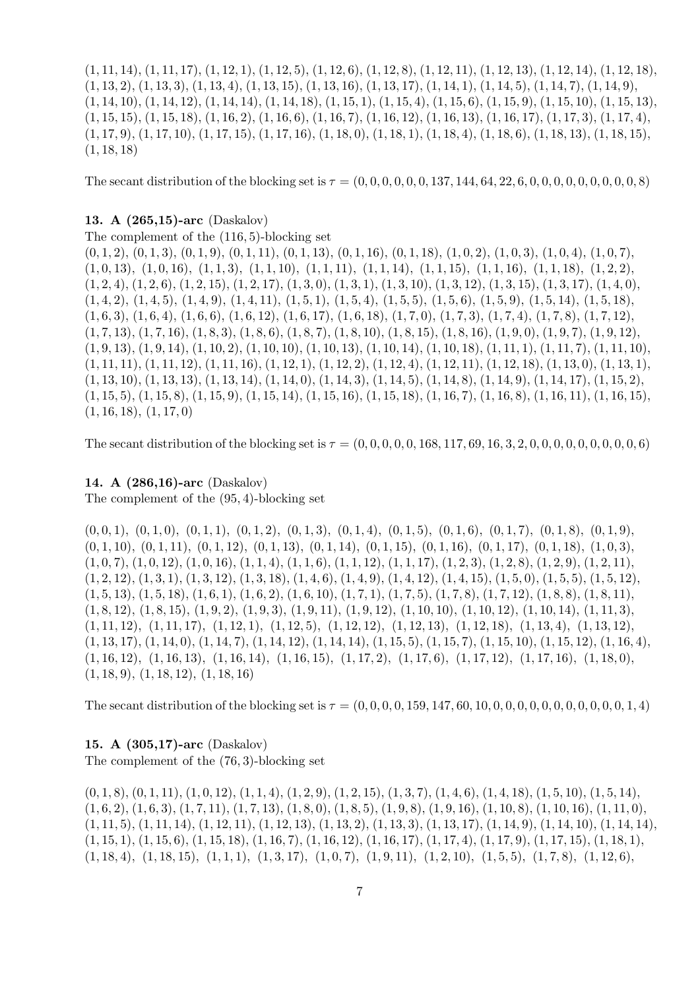$(1, 11, 14), (1, 11, 17), (1, 12, 1), (1, 12, 5), (1, 12, 6), (1, 12, 8), (1, 12, 11), (1, 12, 13), (1, 12, 14), (1, 12, 18),$  $(1, 13, 2), (1, 13, 3), (1, 13, 4), (1, 13, 15), (1, 13, 16), (1, 13, 17), (1, 14, 1), (1, 14, 5), (1, 14, 7), (1, 14, 9),$  $(1, 14, 10), (1, 14, 12), (1, 14, 14), (1, 14, 18), (1, 15, 1), (1, 15, 4), (1, 15, 6), (1, 15, 9), (1, 15, 10), (1, 15, 13),$  $(1, 15, 15), (1, 15, 18), (1, 16, 2), (1, 16, 6), (1, 16, 7), (1, 16, 12), (1, 16, 13), (1, 16, 17), (1, 17, 3), (1, 17, 4),$  $(1, 17, 9), (1, 17, 10), (1, 17, 15), (1, 17, 16), (1, 18, 0), (1, 18, 1), (1, 18, 4), (1, 18, 6), (1, 18, 13), (1, 18, 15),$  $(1, 18, 18)$ 

The secant distribution of the blocking set is  $\tau = (0, 0, 0, 0, 0, 0, 137, 144, 64, 22, 6, 0, 0, 0, 0, 0, 0, 0, 0, 8)$ 

#### 13. A (265,15)-arc (Daskalov)

The complement of the (116, 5)-blocking set

 $(0, 1, 2), (0, 1, 3), (0, 1, 9), (0, 1, 11), (0, 1, 13), (0, 1, 16), (0, 1, 18), (1, 0, 2), (1, 0, 3), (1, 0, 4), (1, 0, 7),$  $(1, 0, 13), (1, 0, 16), (1, 1, 3), (1, 1, 10), (1, 1, 11), (1, 1, 14), (1, 1, 15), (1, 1, 16), (1, 1, 18), (1, 2, 2),$  $(1, 2, 4), (1, 2, 6), (1, 2, 15), (1, 2, 17), (1, 3, 0), (1, 3, 1), (1, 3, 10), (1, 3, 12), (1, 3, 15), (1, 3, 17), (1, 4, 0),$  $(1, 4, 2), (1, 4, 5), (1, 4, 9), (1, 4, 11), (1, 5, 1), (1, 5, 4), (1, 5, 5), (1, 5, 6), (1, 5, 9), (1, 5, 14), (1, 5, 18),$  $(1, 6, 3), (1, 6, 4), (1, 6, 6), (1, 6, 12), (1, 6, 17), (1, 6, 18), (1, 7, 0), (1, 7, 3), (1, 7, 4), (1, 7, 8), (1, 7, 12),$  $(1, 7, 13), (1, 7, 16), (1, 8, 3), (1, 8, 6), (1, 8, 7), (1, 8, 10), (1, 8, 15), (1, 8, 16), (1, 9, 0), (1, 9, 7), (1, 9, 12),$  $(1, 9, 13), (1, 9, 14), (1, 10, 2), (1, 10, 10), (1, 10, 13), (1, 10, 14), (1, 10, 18), (1, 11, 1), (1, 11, 7), (1, 11, 10),$  $(1, 11, 11), (1, 11, 12), (1, 11, 16), (1, 12, 1), (1, 12, 2), (1, 12, 4), (1, 12, 11), (1, 12, 18), (1, 13, 0), (1, 13, 1),$  $(1, 13, 10), (1, 13, 13), (1, 13, 14), (1, 14, 0), (1, 14, 3), (1, 14, 5), (1, 14, 8), (1, 14, 9), (1, 14, 17), (1, 15, 2),$  $(1, 15, 5), (1, 15, 8), (1, 15, 9), (1, 15, 14), (1, 15, 16), (1, 15, 18), (1, 16, 7), (1, 16, 8), (1, 16, 11), (1, 16, 15),$  $(1, 16, 18), (1, 17, 0)$ 

The secant distribution of the blocking set is  $\tau = (0, 0, 0, 0, 0, 0, 168, 117, 69, 16, 3, 2, 0, 0, 0, 0, 0, 0, 0, 0, 0, 6)$ 

# 14. A (286,16)-arc (Daskalov)

The complement of the (95, 4)-blocking set

 $(0, 0, 1), (0, 1, 0), (0, 1, 1), (0, 1, 2), (0, 1, 3), (0, 1, 4), (0, 1, 5), (0, 1, 6), (0, 1, 7), (0, 1, 8), (0, 1, 9),$  $(0, 1, 10), (0, 1, 11), (0, 1, 12), (0, 1, 13), (0, 1, 14), (0, 1, 15), (0, 1, 16), (0, 1, 17), (0, 1, 18), (1, 0, 3),$  $(1, 0, 7), (1, 0, 12), (1, 0, 16), (1, 1, 4), (1, 1, 6), (1, 1, 12), (1, 1, 17), (1, 2, 3), (1, 2, 8), (1, 2, 9), (1, 2, 11),$  $(1, 2, 12), (1, 3, 1), (1, 3, 12), (1, 3, 18), (1, 4, 6), (1, 4, 9), (1, 4, 12), (1, 4, 15), (1, 5, 0), (1, 5, 5), (1, 5, 12),$  $(1, 5, 13), (1, 5, 18), (1, 6, 1), (1, 6, 2), (1, 6, 10), (1, 7, 1), (1, 7, 5), (1, 7, 8), (1, 7, 12), (1, 8, 8), (1, 8, 11),$  $(1, 8, 12), (1, 8, 15), (1, 9, 2), (1, 9, 3), (1, 9, 11), (1, 9, 12), (1, 10, 10), (1, 10, 12), (1, 10, 14), (1, 11, 3),$  $(1, 11, 12), (1, 11, 17), (1, 12, 1), (1, 12, 5), (1, 12, 12), (1, 12, 13), (1, 12, 18), (1, 13, 4), (1, 13, 12),$  $(1, 13, 17), (1, 14, 0), (1, 14, 7), (1, 14, 12), (1, 14, 14), (1, 15, 5), (1, 15, 7), (1, 15, 10), (1, 15, 12), (1, 16, 4),$  $(1, 16, 12), (1, 16, 13), (1, 16, 14), (1, 16, 15), (1, 17, 2), (1, 17, 6), (1, 17, 12), (1, 17, 16), (1, 18, 0),$ (1, 18, 9), (1, 18, 12), (1, 18, 16)

The secant distribution of the blocking set is  $\tau = (0, 0, 0, 0, 0, 159, 147, 60, 10, 0, 0, 0, 0, 0, 0, 0, 0, 0, 0, 1, 4)$ 

#### 15. A (305,17)-arc (Daskalov)

The complement of the (76, 3)-blocking set

 $(0, 1, 8), (0, 1, 11), (1, 0, 12), (1, 1, 4), (1, 2, 9), (1, 2, 15), (1, 3, 7), (1, 4, 6), (1, 4, 18), (1, 5, 10), (1, 5, 14),$  $(1, 6, 2), (1, 6, 3), (1, 7, 11), (1, 7, 13), (1, 8, 0), (1, 8, 5), (1, 9, 8), (1, 9, 16), (1, 10, 8), (1, 10, 16), (1, 11, 0),$  $(1, 11, 5), (1, 11, 14), (1, 12, 11), (1, 12, 13), (1, 13, 2), (1, 13, 3), (1, 13, 17), (1, 14, 9), (1, 14, 10), (1, 14, 14),$  $(1, 15, 1), (1, 15, 6), (1, 15, 18), (1, 16, 7), (1, 16, 12), (1, 16, 17), (1, 17, 4), (1, 17, 9), (1, 17, 15), (1, 18, 1),$  $(1, 18, 4), (1, 18, 15), (1, 1, 1), (1, 3, 17), (1, 0, 7), (1, 9, 11), (1, 2, 10), (1, 5, 5), (1, 7, 8), (1, 12, 6),$